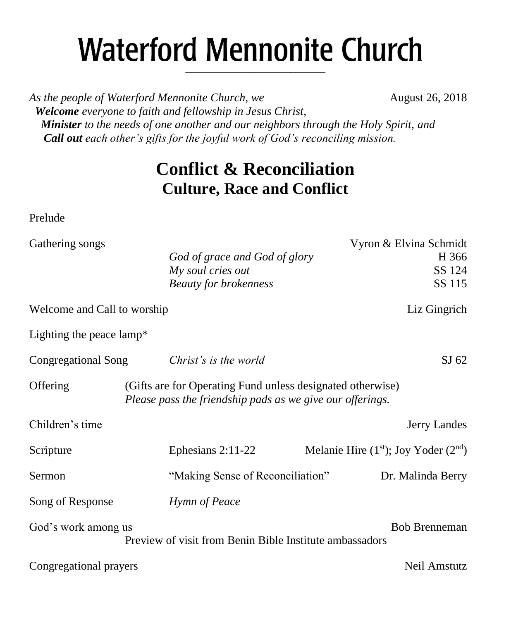# **Waterford Mennonite Church** \_\_\_\_\_\_\_\_\_\_\_\_\_\_\_\_\_\_\_\_\_\_\_\_

As the people of Waterford Mennonite Church, we **August 26, 2018**  *Welcome everyone to faith and fellowship in Jesus Christ,* 

 *Minister to the needs of one another and our neighbors through the Holy Spirit, and Call out each other's gifts for the joyful work of God's reconciling mission.*

## **Conflict & Reconciliation Culture, Race and Conflict**

Prelude

| Gathering songs                        |                                                                                                                         | Vyron & Elvina Schmidt                   |
|----------------------------------------|-------------------------------------------------------------------------------------------------------------------------|------------------------------------------|
|                                        | God of grace and God of glory                                                                                           | H 366                                    |
|                                        | My soul cries out                                                                                                       | SS 124                                   |
|                                        | <b>Beauty for brokenness</b>                                                                                            | SS 115                                   |
| Welcome and Call to worship            |                                                                                                                         | Liz Gingrich                             |
| Lighting the peace lamp*               |                                                                                                                         |                                          |
| Congregational Song                    | Christ's is the world                                                                                                   | SJ 62                                    |
| Offering                               | (Gifts are for Operating Fund unless designated otherwise)<br>Please pass the friendship pads as we give our offerings. |                                          |
| Children's time                        |                                                                                                                         | Jerry Landes                             |
| Scripture                              | Ephesians $2:11-22$                                                                                                     | Melanie Hire $(1st)$ ; Joy Yoder $(2nd)$ |
| Sermon                                 | "Making Sense of Reconciliation"                                                                                        | Dr. Malinda Berry                        |
| Song of Response                       | Hymn of Peace                                                                                                           |                                          |
| God's work among us                    | Preview of visit from Benin Bible Institute ambassadors                                                                 | <b>Bob Brenneman</b>                     |
| Neil Amstutz<br>Congregational prayers |                                                                                                                         |                                          |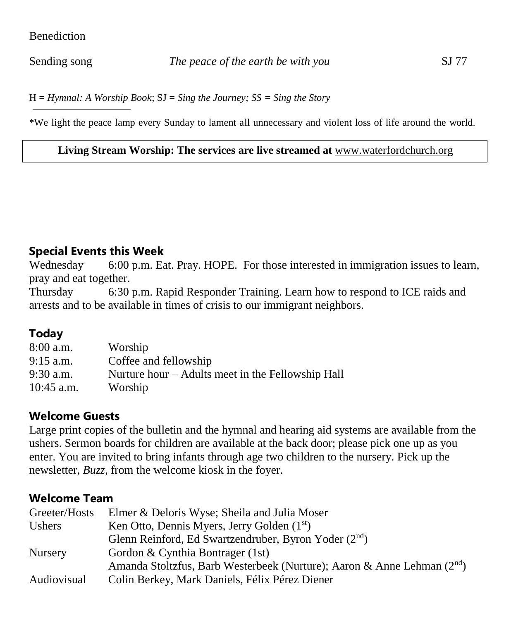#### **Benediction**

H = *Hymnal: A Worship Book*; SJ = *Sing the Journey; SS = Sing the Story*

\*We light the peace lamp every Sunday to lament all unnecessary and violent loss of life around the world.

#### **Living Stream Worship: The services are live streamed at** [www.waterfordchurch.org](http://www.waterfordchurch.org/)

#### **Special Events this Week**

Wednesday 6:00 p.m. Eat. Pray. HOPE. For those interested in immigration issues to learn, pray and eat together.

Thursday 6:30 p.m. Rapid Responder Training. Learn how to respond to ICE raids and arrests and to be available in times of crisis to our immigrant neighbors.

## **Today**

| 8:00 a.m.    | Worship                                           |
|--------------|---------------------------------------------------|
| 9:15 a.m.    | Coffee and fellowship                             |
| 9:30 a.m.    | Nurture hour – Adults meet in the Fellowship Hall |
| $10:45$ a.m. | Worship                                           |

#### **Welcome Guests**

Large print copies of the bulletin and the hymnal and hearing aid systems are available from the ushers. Sermon boards for children are available at the back door; please pick one up as you enter. You are invited to bring infants through age two children to the nursery. Pick up the newsletter, *Buzz,* from the welcome kiosk in the foyer.

#### **Welcome Team**

| Greeter/Hosts  | Elmer & Deloris Wyse; Sheila and Julia Moser                                |
|----------------|-----------------------------------------------------------------------------|
| Ushers         | Ken Otto, Dennis Myers, Jerry Golden $(1st)$                                |
|                | Glenn Reinford, Ed Swartzendruber, Byron Yoder $(2^{nd})$                   |
| <b>Nursery</b> | Gordon & Cynthia Bontrager (1st)                                            |
|                | Amanda Stoltzfus, Barb Westerbeek (Nurture); Aaron & Anne Lehman $(2^{nd})$ |
| Audiovisual    | Colin Berkey, Mark Daniels, Félix Pérez Diener                              |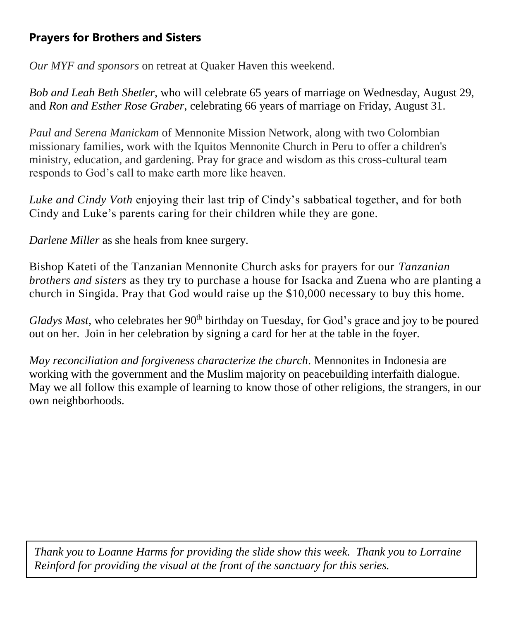## **Prayers for Brothers and Sisters**

*Our MYF and sponsors* on retreat at Quaker Haven this weekend.

*Bob and Leah Beth Shetler*, who will celebrate 65 years of marriage on Wednesday, August 29, and *Ron and Esther Rose Graber*, celebrating 66 years of marriage on Friday, August 31.

*Paul and Serena Manickam* of Mennonite Mission Network, along with two Colombian missionary families, work with the Iquitos Mennonite Church in Peru to offer a children's ministry, education, and gardening. Pray for grace and wisdom as this cross-cultural team responds to God's call to make earth more like heaven.

*Luke and Cindy Voth* enjoying their last trip of Cindy's sabbatical together, and for both Cindy and Luke's parents caring for their children while they are gone.

*Darlene Miller* as she heals from knee surgery.

Bishop Kateti of the Tanzanian Mennonite Church asks for prayers for our *Tanzanian brothers and sisters* as they try to purchase a house for Isacka and Zuena who are planting a church in Singida. Pray that God would raise up the \$10,000 necessary to buy this home.

*Gladys Mast*, who celebrates her 90<sup>th</sup> birthday on Tuesday, for God's grace and joy to be poured out on her. Join in her celebration by signing a card for her at the table in the foyer.

*May reconciliation and forgiveness characterize the church.* Mennonites in Indonesia are working with the government and the Muslim majority on peacebuilding interfaith dialogue. May we all follow this example of learning to know those of other religions, the strangers, in our own neighborhoods.

*Thank you to Loanne Harms for providing the slide show this week. Thank you to Lorraine Reinford for providing the visual at the front of the sanctuary for this series.*